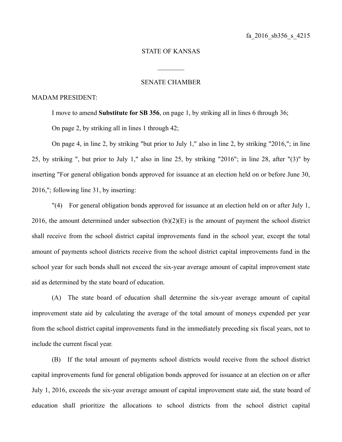## STATE OF KANSAS

 $\frac{1}{2}$ 

## SENATE CHAMBER

## MADAM PRESIDENT:

I move to amend **Substitute for SB 356**, on page 1, by striking all in lines 6 through 36;

On page 2, by striking all in lines 1 through 42;

On page 4, in line 2, by striking "but prior to July 1," also in line 2, by striking "2016,"; in line 25, by striking ", but prior to July 1," also in line 25, by striking "2016"; in line 28, after "(3)" by inserting "For general obligation bonds approved for issuance at an election held on or before June 30, 2016,"; following line 31, by inserting:

"(4) For general obligation bonds approved for issuance at an election held on or after July 1, 2016, the amount determined under subsection  $(b)(2)(E)$  is the amount of payment the school district shall receive from the school district capital improvements fund in the school year, except the total amount of payments school districts receive from the school district capital improvements fund in the school year for such bonds shall not exceed the six-year average amount of capital improvement state aid as determined by the state board of education.

(A) The state board of education shall determine the six-year average amount of capital improvement state aid by calculating the average of the total amount of moneys expended per year from the school district capital improvements fund in the immediately preceding six fiscal years, not to include the current fiscal year.

(B) If the total amount of payments school districts would receive from the school district capital improvements fund for general obligation bonds approved for issuance at an election on or after July 1, 2016, exceeds the six-year average amount of capital improvement state aid, the state board of education shall prioritize the allocations to school districts from the school district capital